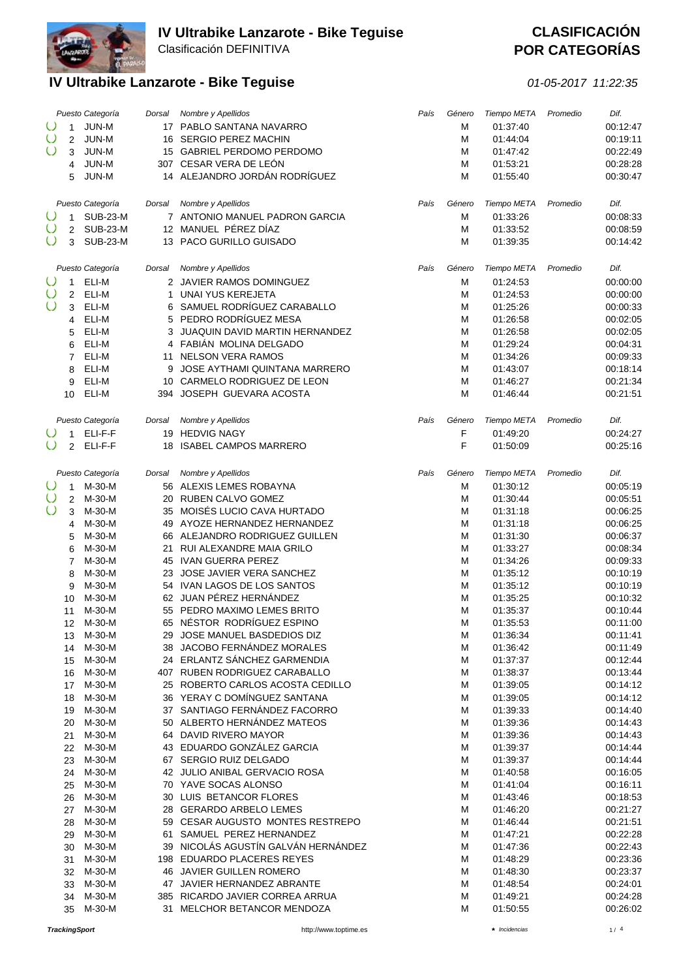

**POR CATEGORÍAS** 

|            |                | Puesto Categoría | Dorsal | Nombre y Apellidos                                                | País | Género | Tiempo META          | Promedio | Dif.                 |
|------------|----------------|------------------|--------|-------------------------------------------------------------------|------|--------|----------------------|----------|----------------------|
| $\cup$     | $\mathbf{1}$   | JUN-M            |        | 17 PABLO SANTANA NAVARRO                                          |      | M      | 01:37:40             |          | 00:12:47             |
| $\circ$    | 2              | JUN-M            |        | 16 SERGIO PEREZ MACHIN                                            |      | M      | 01:44:04             |          | 00:19:11             |
| $\cup$     | 3              | JUN-M            |        | 15 GABRIEL PERDOMO PERDOMO                                        |      | M      | 01:47:42             |          | 00:22:49             |
|            | 4              | JUN-M            |        | 307 CESAR VERA DE LEÓN                                            |      | M      | 01:53:21             |          | 00:28:28             |
|            | 5              | JUN-M            |        | 14 ALEJANDRO JORDÁN RODRÍGUEZ                                     |      | M      | 01:55:40             |          | 00:30:47             |
|            |                |                  |        |                                                                   |      |        |                      |          |                      |
|            |                | Puesto Categoría | Dorsal | Nombre y Apellidos                                                | País | Género | Tiempo META          | Promedio | Dif.                 |
| $\cup$     | 1              | <b>SUB-23-M</b>  |        | 7 ANTONIO MANUEL PADRON GARCIA                                    |      | M      | 01:33:26             |          | 00:08:33             |
| $\cup$     | 2              | <b>SUB-23-M</b>  |        | 12 MANUEL PÉREZ DÍAZ                                              |      | М      | 01:33:52             |          | 00:08:59             |
| $\cup$     | 3              | <b>SUB-23-M</b>  |        | 13 PACO GURILLO GUISADO                                           |      | M      | 01:39:35             |          | 00:14:42             |
|            |                |                  |        |                                                                   |      |        |                      |          |                      |
|            |                | Puesto Categoría | Dorsal | Nombre y Apellidos                                                | País | Género | Tiempo META          | Promedio | Dif.                 |
|            | $\mathbf{1}$   | ELI-M            |        | 2 JAVIER RAMOS DOMINGUEZ                                          |      | М      | 01:24:53             |          | 00:00:00             |
| $\cup$     | 2              | ELI-M            | 1      | <b>UNAI YUS KEREJETA</b>                                          |      | M      | 01:24:53             |          | 00:00:00             |
| $\cup$     | 3              | ELI-M            |        | 6 SAMUEL RODRÍGUEZ CARABALLO                                      |      | M      | 01:25:26             |          | 00:00:33             |
|            | 4              | ELI-M            |        | 5 PEDRO RODRÍGUEZ MESA                                            |      | M      | 01:26:58             |          | 00:02:05             |
|            | 5              | ELI-M            |        | 3 JUAQUIN DAVID MARTIN HERNANDEZ                                  |      | M      | 01:26:58             |          | 00:02:05             |
|            | 6              | ELI-M            |        | 4 FABIÁN MOLINA DELGADO                                           |      | M      | 01:29:24             |          | 00:04:31             |
|            | $\overline{7}$ | ELI-M            |        | 11 NELSON VERA RAMOS                                              |      | M      | 01:34:26             |          | 00:09:33             |
|            | 8              | ELI-M            | 9      | JOSE AYTHAMI QUINTANA MARRERO                                     |      | M      | 01:43:07             |          | 00:18:14             |
|            | 9              | ELI-M            |        | 10 CARMELO RODRIGUEZ DE LEON                                      |      | M      | 01:46:27             |          | 00:21:34             |
|            | 10             | ELI-M            |        | 394 JOSEPH GUEVARA ACOSTA                                         |      | M      | 01:46:44             |          | 00:21:51             |
|            |                |                  |        |                                                                   |      |        |                      |          |                      |
|            |                |                  |        |                                                                   |      |        |                      | Promedio | Dif.                 |
|            |                | Puesto Categoría | Dorsal | Nombre y Apellidos                                                | País | Género | Tiempo META          |          |                      |
|            | $\mathbf{1}$   | ELI-F-F          |        | 19 HEDVIG NAGY                                                    |      | F      | 01:49:20             |          | 00:24:27             |
| $\circ$    | $\overline{2}$ | ELI-F-F          |        | 18 ISABEL CAMPOS MARRERO                                          |      | F      | 01:50:09             |          | 00:25:16             |
|            |                |                  |        |                                                                   |      |        |                      |          |                      |
|            |                | Puesto Categoría | Dorsal | Nombre y Apellidos                                                | País | Género | Tiempo META          | Promedio | Dif.                 |
| $\cup$     | $\mathbf{1}$   | M-30-M           |        | 56 ALEXIS LEMES ROBAYNA                                           |      | M      | 01:30:12             |          | 00:05:19             |
| $\cup$     | 2              | M-30-M           |        | 20 RUBEN CALVO GOMEZ                                              |      | M      | 01:30:44             |          | 00:05:51             |
| $\bigcirc$ | 3              | M-30-M           |        | 35 MOISÉS LUCIO CAVA HURTADO                                      |      | M      | 01:31:18             |          | 00:06:25             |
|            | 4              | M-30-M           |        | 49 AYOZE HERNANDEZ HERNANDEZ                                      |      | M      | 01:31:18             |          | 00:06:25             |
|            | 5              | M-30-M           |        | 66 ALEJANDRO RODRIGUEZ GUILLEN                                    |      | M      | 01:31:30             |          | 00:06:37             |
|            | 6              | M-30-M           | 21     | RUI ALEXANDRE MAIA GRILO                                          |      | M      | 01:33:27             |          | 00:08:34             |
|            | $\overline{7}$ | M-30-M           |        | 45 IVAN GUERRA PEREZ                                              |      | M      | 01:34:26             |          | 00:09:33             |
|            | 8              | M-30-M           |        | 23 JOSE JAVIER VERA SANCHEZ                                       |      | M      | 01:35:12             |          | 00:10:19             |
|            | 9              | M-30-M           |        | 54 IVAN LAGOS DE LOS SANTOS                                       |      | M      | 01:35:12             |          | 00:10:19             |
|            | 10             | M-30-M           |        | 62 JUAN PÉREZ HERNÁNDEZ                                           |      | M      | 01:35:25             |          | 00:10:32             |
|            | 11             | M-30-M           |        | 55 PEDRO MAXIMO LEMES BRITO                                       |      | M      | 01:35:37             |          | 00:10:44             |
|            | 12             | M-30-M           |        | 65 NÉSTOR RODRÍGUEZ ESPINO                                        |      | M      | 01:35:53             |          | 00:11:00             |
|            | 13             | M-30-M           |        | 29 JOSE MANUEL BASDEDIOS DIZ                                      |      | M      | 01:36:34             |          | 00:11:41             |
|            | 14             | M-30-M           |        | 38 JACOBO FERNÁNDEZ MORALES                                       |      | M      | 01:36:42             |          | 00:11:49             |
|            | 15             | M-30-M           |        | 24 ERLANTZ SÁNCHEZ GARMENDIA                                      |      | M      | 01:37:37             |          | 00:12:44             |
|            | 16             | M-30-M           |        | 407 RUBEN RODRIGUEZ CARABALLO<br>25 ROBERTO CARLOS ACOSTA CEDILLO |      | M      | 01:38:37             |          | 00:13:44             |
|            | 17             | M-30-M           |        |                                                                   |      | M      | 01:39:05             |          | 00:14:12             |
|            | 18             | M-30-M<br>M-30-M |        | 36 YERAY C DOMÍNGUEZ SANTANA<br>37 SANTIAGO FERNÁNDEZ FACORRO     |      | M      | 01:39:05<br>01:39:33 |          | 00:14:12<br>00:14:40 |
|            | 19             | M-30-M           |        | 50 ALBERTO HERNÁNDEZ MATEOS                                       |      | M<br>M | 01:39:36             |          | 00:14:43             |
|            | 20             | M-30-M           |        | 64 DAVID RIVERO MAYOR                                             |      | М      | 01:39:36             |          | 00:14:43             |
|            | 21             | M-30-M           |        | 43 EDUARDO GONZÁLEZ GARCIA                                        |      | M      | 01:39:37             |          | 00:14:44             |
|            | 22             | M-30-M           |        | 67 SERGIO RUIZ DELGADO                                            |      | M      | 01:39:37             |          | 00:14:44             |
|            | 23             | M-30-M           |        | 42 JULIO ANIBAL GERVACIO ROSA                                     |      |        | 01:40:58             |          | 00:16:05             |
|            | 24<br>25       | M-30-M           |        | 70 YAVE SOCAS ALONSO                                              |      | M<br>M | 01:41:04             |          | 00:16:11             |
|            | 26             | M-30-M           |        | 30 LUIS BETANCOR FLORES                                           |      | M      | 01:43:46             |          | 00:18:53             |
|            | 27             | M-30-M           |        | 28 GERARDO ARBELO LEMES                                           |      | M      | 01:46:20             |          | 00:21:27             |
|            | 28             | M-30-M           |        | 59 CESAR AUGUSTO MONTES RESTREPO                                  |      | M      | 01:46:44             |          | 00:21:51             |
|            | 29             | M-30-M           |        | 61 SAMUEL PEREZ HERNANDEZ                                         |      | М      | 01:47:21             |          | 00:22:28             |
|            |                | 30 M-30-M        |        | 39 NICOLÁS AGUSTÍN GALVÁN HERNÁNDEZ                               |      | М      | 01:47:36             |          | 00:22:43             |
|            | 31             | M-30-M           |        | 198 EDUARDO PLACERES REYES                                        |      | M      | 01:48:29             |          | 00:23:36             |
|            | 32             | M-30-M           |        | 46 JAVIER GUILLEN ROMERO                                          |      | M      | 01:48:30             |          | 00:23:37             |
|            | 33             | M-30-M           |        | 47 JAVIER HERNANDEZ ABRANTE                                       |      | M      | 01:48:54             |          | 00:24:01             |
|            | 34             | M-30-M           |        | 385 RICARDO JAVIER CORREA ARRUA                                   |      | M      | 01:49:21             |          | 00:24:28             |
|            | 35             | M-30-M           |        | 31 MELCHOR BETANCOR MENDOZA                                       |      | M      | 01:50:55             |          | 00:26:02             |
|            |                |                  |        |                                                                   |      |        |                      |          |                      |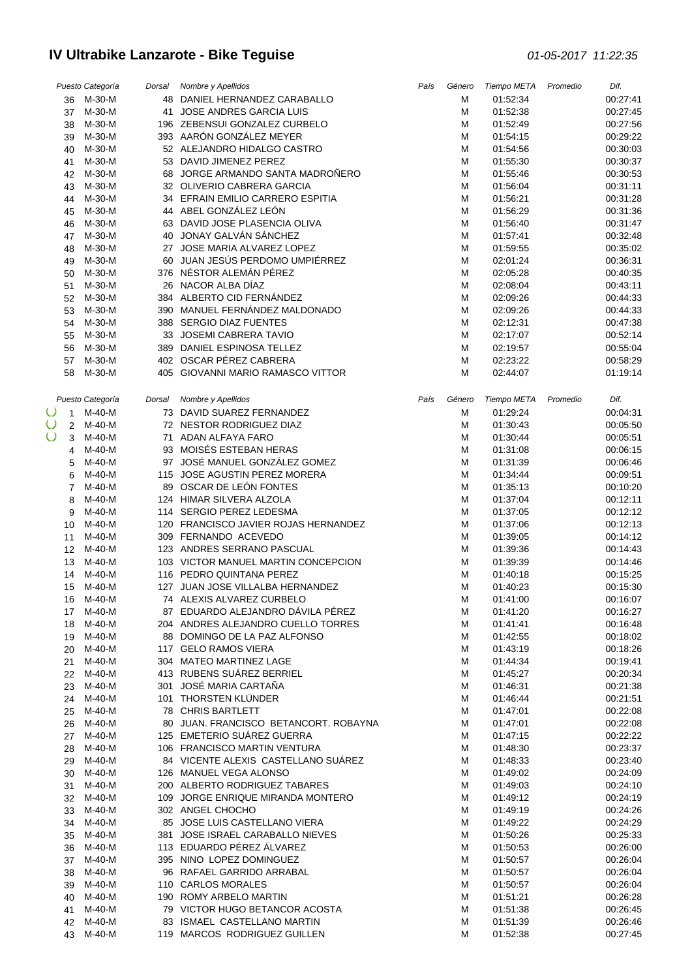|                          | Puesto Categoría    | Dorsal Nombre y Apellidos                                     | País | Género | Tiempo META          | Promedio | Dif.                 |
|--------------------------|---------------------|---------------------------------------------------------------|------|--------|----------------------|----------|----------------------|
|                          | 36 M-30-M           | 48 DANIEL HERNANDEZ CARABALLO                                 |      | М      | 01:52:34             |          | 00:27:41             |
| 37                       | M-30-M              | 41 JOSE ANDRES GARCIA LUIS                                    |      | М      | 01:52:38             |          | 00:27:45             |
| 38                       | M-30-M              | 196 ZEBENSUI GONZALEZ CURBELO                                 |      | М      | 01:52:49             |          | 00:27:56             |
| 39                       | M-30-M              | 393 AARÓN GONZÁLEZ MEYER                                      |      | М      | 01:54:15             |          | 00:29:22             |
| 40                       | M-30-M              | 52 ALEJANDRO HIDALGO CASTRO                                   |      | M      | 01:54:56             |          | 00:30:03             |
| 41                       | M-30-M              | 53 DAVID JIMENEZ PEREZ                                        |      | M      | 01:55:30             |          | 00:30:37             |
| 42                       | M-30-M              | 68 JORGE ARMANDO SANTA MADROÑERO                              |      | M      | 01:55:46             |          | 00:30:53             |
| 43                       | M-30-M              | 32 OLIVERIO CABRERA GARCIA                                    |      | M      | 01:56:04             |          | 00:31:11             |
| 44                       | M-30-M              | 34 EFRAIN EMILIO CARRERO ESPITIA                              |      | М      | 01:56:21             |          | 00:31:28             |
| 45                       | M-30-M              | 44 ABEL GONZÁLEZ LEÓN                                         |      | М      | 01:56:29             |          | 00:31:36             |
| 46                       | M-30-M              | 63 DAVID JOSE PLASENCIA OLIVA                                 |      | М      | 01:56:40             |          | 00:31:47             |
| 47                       | M-30-M              | 40 JONAY GALVÁN SÁNCHEZ                                       |      | М      | 01:57:41             |          | 00:32:48             |
| 48                       | M-30-M              | 27 JOSE MARIA ALVAREZ LOPEZ                                   |      | M      | 01:59:55             |          | 00:35:02             |
| 49                       | M-30-M              | 60 JUAN JESÚS PERDOMO UMPIÉRREZ                               |      | M      | 02:01:24             |          | 00:36:31             |
| 50                       | M-30-M<br>M-30-M    | 376 NÉSTOR ALEMÁN PÉREZ<br>26 NACOR ALBA DÍAZ                 |      | M<br>M | 02:05:28<br>02:08:04 |          | 00:40:35<br>00:43:11 |
| 51                       | M-30-M              | 384 ALBERTO CID FERNÁNDEZ                                     |      | М      | 02:09:26             |          | 00:44:33             |
| 52<br>53                 | M-30-M              | 390 MANUEL FERNÁNDEZ MALDONADO                                |      | M      | 02:09:26             |          | 00:44:33             |
| 54                       | M-30-M              | 388 SERGIO DIAZ FUENTES                                       |      | M      | 02:12:31             |          | 00:47:38             |
| 55                       | M-30-M              | 33 JOSEMI CABRERA TAVIO                                       |      | M      | 02:17:07             |          | 00:52:14             |
| 56                       | M-30-M              | 389 DANIEL ESPINOSA TELLEZ                                    |      | М      | 02:19:57             |          | 00:55:04             |
| 57                       | M-30-M              | 402 OSCAR PÉREZ CABRERA                                       |      | M      | 02:23:22             |          | 00:58:29             |
| 58                       | M-30-M              | 405 GIOVANNI MARIO RAMASCO VITTOR                             |      | М      | 02:44:07             |          | 01:19:14             |
|                          |                     |                                                               |      |        |                      |          |                      |
|                          | Puesto Categoría    | Dorsal Nombre y Apellidos                                     | País | Género | Tiempo META          | Promedio | Dif.                 |
| $\circ$<br>$\mathbf{1}$  | M-40-M              | 73 DAVID SUAREZ FERNANDEZ                                     |      | M      | 01:29:24             |          | 00:04:31             |
| $\cup$<br>$\overline{2}$ | M-40-M              | 72 NESTOR RODRIGUEZ DIAZ                                      |      | M      | 01:30:43             |          | 00:05:50             |
| $\cup$<br>3              | M-40-M              | 71 ADAN ALFAYA FARO                                           |      | М      | 01:30:44             |          | 00:05:51             |
| 4                        | M-40-M              | 93 MOISÉS ESTEBAN HERAS                                       |      | M      | 01:31:08             |          | 00:06:15             |
| 5                        | M-40-M              | 97 JOSÉ MANUEL GONZÁLEZ GOMEZ                                 |      | M      | 01:31:39             |          | 00:06:46             |
| 6                        | M-40-M              | 115 JOSE AGUSTIN PEREZ MORERA                                 |      | M      | 01:34:44             |          | 00:09:51             |
| $\overline{7}$           | $M-40-M$            | 89 OSCAR DE LEÓN FONTES                                       |      | M      | 01:35:13             |          | 00:10:20             |
| 8                        | $M-40-M$            | 124 HIMAR SILVERA ALZOLA                                      |      | M      | 01:37:04             |          | 00:12:11             |
| 9                        | $M-40-M$            | 114 SERGIO PEREZ LEDESMA                                      |      | M      | 01:37:05             |          | 00:12:12             |
| 10                       | M-40-M              | 120 FRANCISCO JAVIER ROJAS HERNANDEZ                          |      | M      | 01:37:06             |          | 00:12:13             |
| 11                       | $M-40-M$            | 309 FERNANDO ACEVEDO                                          |      | M      | 01:39:05             |          | 00:14:12             |
| 12                       | M-40-M              | 123 ANDRES SERRANO PASCUAL                                    |      | М      | 01:39:36             |          | 00:14:43             |
| 13                       | M-40-M              | 103 VICTOR MANUEL MARTIN CONCEPCION                           |      | M      | 01:39:39             |          | 00:14:46             |
| 14                       | M-40-M              | 116 PEDRO QUINTANA PEREZ                                      |      | M      | 01:40:18             |          | 00:15:25             |
| 15                       | M-40-M              | 127 JUAN JOSE VILLALBA HERNANDEZ                              |      | M      | 01:40:23             |          | 00:15:30             |
|                          | 16 M-40-M           | 74 ALEXIS ALVAREZ CURBELO                                     |      | M      | 01:41:00             |          | 00:16:07             |
|                          | 17 M-40-M           | 87 EDUARDO ALEJANDRO DÁVILA PÉREZ                             |      | м      | 01:41:20             |          | 00:16:27             |
|                          | 18 M-40-M           | 204 ANDRES ALEJANDRO CUELLO TORRES                            |      | м      | 01:41:41             |          | 00:16:48             |
|                          | 19 M-40-M           | 88 DOMINGO DE LA PAZ ALFONSO                                  |      | м      | 01:42:55             |          | 00:18:02             |
|                          | 20 M-40-M           | 117 GELO RAMOS VIERA                                          |      | M      | 01:43:19             |          | 00:18:26             |
|                          | 21 M-40-M           | 304 MATEO MARTINEZ LAGE                                       |      | М      | 01:44:34             |          | 00:19:41             |
|                          | 22 M-40-M           | 413 RUBENS SUÁREZ BERRIEL                                     |      | M      | 01:45:27             |          | 00:20:34             |
|                          | 23 M-40-M           | 301 JOSÉ MARIA CARTAÑA                                        |      | M      | 01:46:31             |          | 00:21:38             |
|                          | 24 M-40-M           | 101 THORSTEN KLÜNDER                                          |      | M      | 01:46:44             |          | 00:21:51             |
| 25                       | M-40-M              | 78 CHRIS BARTLETT                                             |      | M      | 01:47:01             |          | 00:22:08             |
|                          | 26 M-40-M           | 80 JUAN. FRANCISCO BETANCORT. ROBAYNA                         |      | M      | 01:47:01             |          | 00:22:08             |
|                          | 27 M-40-M           | 125 EMETERIO SUÁREZ GUERRA                                    |      | м      | 01:47:15             |          | 00:22:22             |
| 28                       | M-40-M              | 106 FRANCISCO MARTIN VENTURA                                  |      | M      | 01:48:30             |          | 00:23:37             |
|                          | 29 M-40-M           | 84 VICENTE ALEXIS CASTELLANO SUÁREZ<br>126 MANUEL VEGA ALONSO |      | М      | 01:48:33             |          | 00:23:40             |
|                          | 30 M-40-M<br>M-40-M | 200 ALBERTO RODRIGUEZ TABARES                                 |      | М<br>M | 01:49:02<br>01:49:03 |          | 00:24:09<br>00:24:10 |
| 31                       | 32 M-40-M           | 109 JORGE ENRIQUE MIRANDA MONTERO                             |      |        | 01:49:12             |          | 00:24:19             |
|                          | 33 M-40-M           | 302 ANGEL CHOCHO                                              |      | M<br>M | 01:49:19             |          | 00:24:26             |
|                          | 34 M-40-M           | 85 JOSE LUIS CASTELLANO VIERA                                 |      | M      | 01:49:22             |          | 00:24:29             |
|                          | 35 M-40-M           | 381 JOSE ISRAEL CARABALLO NIEVES                              |      | M      | 01:50:26             |          | 00:25:33             |
|                          | 36 M-40-M           | 113 EDUARDO PÉREZ ÁLVAREZ                                     |      | м      | 01:50:53             |          | 00:26:00             |
|                          | 37 M-40-M           | 395 NINO LOPEZ DOMINGUEZ                                      |      | М      | 01:50:57             |          | 00:26:04             |
|                          | 38 M-40-M           | 96 RAFAEL GARRIDO ARRABAL                                     |      | M      | 01:50:57             |          | 00:26:04             |
|                          | 39 M-40-M           | 110 CARLOS MORALES                                            |      | М      | 01:50:57             |          | 00:26:04             |
| 40                       | M-40-M              | 190 ROMY ARBELO MARTIN                                        |      | M      | 01:51:21             |          | 00:26:28             |
| 41                       | M-40-M              | 79 VICTOR HUGO BETANCOR ACOSTA                                |      | M      | 01:51:38             |          | 00:26:45             |
|                          | 42 M-40-M           | 83 ISMAEL CASTELLANO MARTIN                                   |      | M      | 01:51:39             |          | 00:26:46             |
|                          | 43 M-40-M           | 119 MARCOS RODRIGUEZ GUILLEN                                  |      | M      | 01:52:38             |          | 00:27:45             |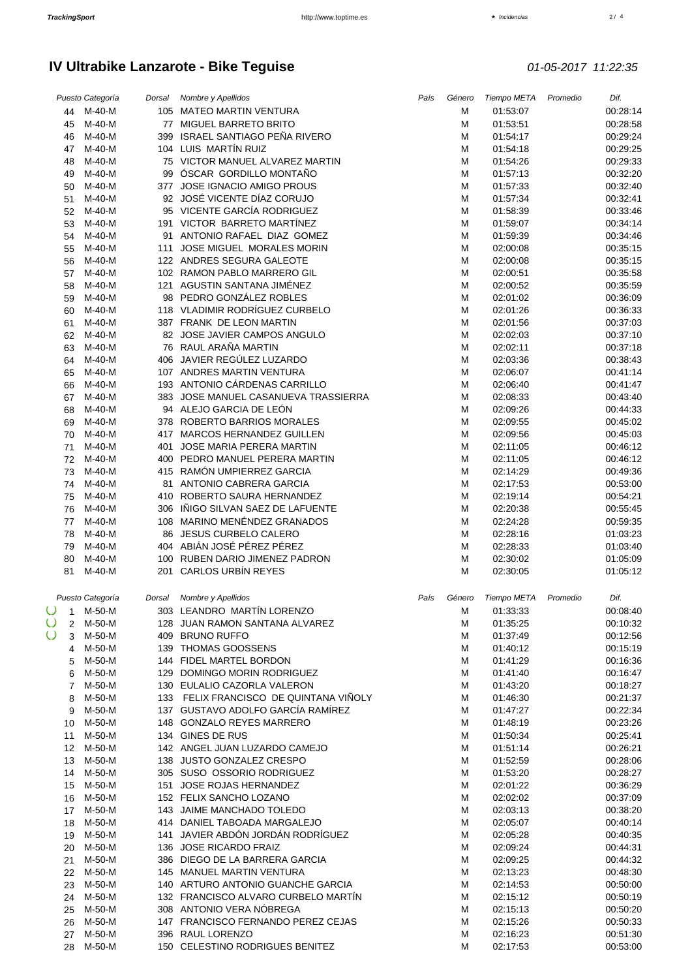### $2/4$

|                                     | Puesto Categoría | Dorsal Nombre y Apellidos                                  | País | Género | Tiempo META          | Promedio | Dif.                 |
|-------------------------------------|------------------|------------------------------------------------------------|------|--------|----------------------|----------|----------------------|
|                                     | 44 M-40-M        | 105 MATEO MARTIN VENTURA                                   |      | М      | 01:53:07             |          | 00:28:14             |
| 45                                  | M-40-M           | 77 MIGUEL BARRETO BRITO                                    |      | M      | 01:53:51             |          | 00:28:58             |
| 46                                  | M-40-M           | 399 ISRAEL SANTIAGO PEÑA RIVERO                            |      | М      | 01:54:17             |          | 00:29:24             |
| 47                                  | $M-40-M$         | 104 LUIS MARTÍN RUIZ                                       |      | М      | 01:54:18             |          | 00:29:25             |
| 48                                  | M-40-M           | 75 VICTOR MANUEL ALVAREZ MARTIN                            |      | M      | 01:54:26             |          | 00:29:33             |
| 49                                  | $M-40-M$         | 99 ÓSCAR GORDILLO MONTAÑO                                  |      | M      | 01:57:13             |          | 00:32:20             |
| 50                                  | M-40-M           | 377 JOSE IGNACIO AMIGO PROUS                               |      | M      | 01:57:33             |          | 00:32:40             |
| 51                                  | $M-40-M$         | 92 JOSÉ VICENTE DÍAZ CORUJO                                |      | M      | 01:57:34             |          | 00:32:41             |
| 52                                  | $M-40-M$         | 95 VICENTE GARCÍA RODRIGUEZ                                |      | M      | 01:58:39             |          | 00:33:46             |
| 53                                  | M-40-M           | 191 VICTOR BARRETO MARTÍNEZ                                |      | M      | 01:59:07             |          | 00:34:14             |
| 54                                  | M-40-M           | 91 ANTONIO RAFAEL DIAZ GOMEZ                               |      | M      | 01:59:39             |          | 00:34:46             |
| 55                                  | M-40-M           | 111 JOSE MIGUEL MORALES MORIN                              |      | M      | 02:00:08             |          | 00:35:15             |
| 56                                  | $M-40-M$         | 122 ANDRES SEGURA GALEOTE                                  |      | M      | 02:00:08             |          | 00:35:15             |
| 57                                  | $M-40-M$         | 102 RAMON PABLO MARRERO GIL<br>121 AGUSTIN SANTANA JIMÉNEZ |      | M      | 02:00:51             |          | 00:35:58             |
| 58                                  | M-40-M<br>M-40-M | 98 PEDRO GONZÁLEZ ROBLES                                   |      | M<br>M | 02:00:52<br>02:01:02 |          | 00:35:59<br>00:36:09 |
| 59                                  | M-40-M           | 118 VLADIMIR RODRÍGUEZ CURBELO                             |      | M      | 02:01:26             |          | 00:36:33             |
| 60<br>61                            | M-40-M           | 387 FRANK DE LEON MARTIN                                   |      | M      | 02:01:56             |          | 00:37:03             |
| 62                                  | M-40-M           | 82 JOSE JAVIER CAMPOS ANGULO                               |      | M      | 02:02:03             |          | 00:37:10             |
| 63                                  | $M-40-M$         | 76 RAUL ARAÑA MARTIN                                       |      | M      | 02:02:11             |          | 00:37:18             |
| 64                                  | M-40-M           | 406 JAVIER REGÚLEZ LUZARDO                                 |      | M      | 02:03:36             |          | 00:38:43             |
| 65                                  | $M-40-M$         | 107 ANDRES MARTIN VENTURA                                  |      | M      | 02:06:07             |          | 00:41:14             |
| 66                                  | $M-40-M$         | 193 ANTONIO CÁRDENAS CARRILLO                              |      | M      | 02:06:40             |          | 00:41:47             |
| 67                                  | $M-40-M$         | 383 JOSE MANUEL CASANUEVA TRASSIERRA                       |      | M      | 02:08:33             |          | 00:43:40             |
| 68                                  | M-40-M           | 94 ALEJO GARCIA DE LEÓN                                    |      | M      | 02:09:26             |          | 00:44:33             |
| 69                                  | M-40-M           | 378 ROBERTO BARRIOS MORALES                                |      | M      | 02:09:55             |          | 00:45:02             |
| 70                                  | M-40-M           | 417 MARCOS HERNANDEZ GUILLEN                               |      | M      | 02:09:56             |          | 00:45:03             |
| 71                                  | M-40-M           | 401 JOSE MARIA PERERA MARTIN                               |      | M      | 02:11:05             |          | 00:46:12             |
| 72                                  | $M-40-M$         | 400 PEDRO MANUEL PERERA MARTIN                             |      | M      | 02:11:05             |          | 00:46:12             |
| 73                                  | M-40-M           | 415 RAMÓN UMPIERREZ GARCIA                                 |      | M      | 02:14:29             |          | 00:49:36             |
| 74                                  | M-40-M           | 81 ANTONIO CABRERA GARCIA                                  |      | M      | 02:17:53             |          | 00:53:00             |
| 75                                  | $M-40-M$         | 410 ROBERTO SAURA HERNANDEZ                                |      | M      | 02:19:14             |          | 00:54:21             |
| 76                                  | M-40-M           | 306 IÑIGO SILVAN SAEZ DE LAFUENTE                          |      | M      | 02:20:38             |          | 00:55:45             |
| 77                                  | M-40-M           | 108 MARINO MENÉNDEZ GRANADOS                               |      | M      | 02:24:28             |          | 00:59:35             |
| 78                                  | $M-40-M$         | 86 JESUS CURBELO CALERO                                    |      | M      | 02:28:16             |          | 01:03:23             |
| 79                                  | M-40-M           | 404 ABIÁN JOSÉ PÉREZ PÉREZ                                 |      | M      | 02:28:33             |          | 01:03:40             |
| 80                                  | M-40-M           | 100 RUBEN DARIO JIMENEZ PADRON                             |      | M      | 02:30:02             |          | 01:05:09             |
| 81                                  | M-40-M           | 201 CARLOS URBÍN REYES                                     |      | M      | 02:30:05             |          | 01:05:12             |
|                                     |                  |                                                            |      |        |                      |          |                      |
|                                     | Puesto Categoría | Dorsal Nombre y Apellidos                                  | País | Género | Tiempo META          | Promedio | Dif.                 |
|                                     | $O_{1}$ M-50-M   | 303 LEANDRO MARTÍN LORENZO                                 |      | M      | 01:33:33             |          | 00:08:40             |
| $\circ$<br>$\overline{2}$<br>$\cup$ | M-50-M           | 128 JUAN RAMON SANTANA ALVAREZ                             |      | м      | 01:35:25             |          | 00:10:32             |
| 3                                   | M-50-M           | 409 BRUNO RUFFO                                            |      | M      | 01:37:49             |          | 00:12:56<br>00:15:19 |
| 4                                   | M-50-M           | 139 THOMAS GOOSSENS<br>144 FIDEL MARTEL BORDON             |      | M      | 01:40:12             |          |                      |
| 5                                   | M-50-M<br>M-50-M | 129 DOMINGO MORIN RODRIGUEZ                                |      | M<br>М | 01:41:29<br>01:41:40 |          | 00:16:36<br>00:16:47 |
| 6<br>$\overline{7}$                 | M-50-M           | 130 EULALIO CAZORLA VALERON                                |      | M      | 01:43:20             |          | 00:18:27             |
| 8                                   | M-50-M           | 133 FELIX FRANCISCO DE QUINTANA VIÑOLY                     |      | М      | 01:46:30             |          | 00:21:37             |
| 9                                   | M-50-M           | 137 GUSTAVO ADOLFO GARCÍA RAMÍREZ                          |      | M      | 01:47:27             |          | 00:22:34             |
| 10                                  | M-50-M           | 148 GONZALO REYES MARRERO                                  |      | M      | 01:48:19             |          | 00:23:26             |
| 11                                  | M-50-M           | 134 GINES DE RUS                                           |      | M      | 01:50:34             |          | 00:25:41             |
| 12 <sup>12</sup>                    | M-50-M           | 142 ANGEL JUAN LUZARDO CAMEJO                              |      | M      | 01:51:14             |          | 00:26:21             |
| 13                                  | M-50-M           | 138 JUSTO GONZALEZ CRESPO                                  |      | M      | 01:52:59             |          | 00:28:06             |
| 14                                  | M-50-M           | 305 SUSO OSSORIO RODRIGUEZ                                 |      | M      | 01:53:20             |          | 00:28:27             |
|                                     | 15 M-50-M        | 151 JOSE ROJAS HERNANDEZ                                   |      | М      | 02:01:22             |          | 00:36:29             |
| 16                                  | M-50-M           | 152 FELIX SANCHO LOZANO                                    |      | M      | 02:02:02             |          | 00:37:09             |
| 17                                  | M-50-M           | 143 JAIME MANCHADO TOLEDO                                  |      | M      | 02:03:13             |          | 00:38:20             |
| 18                                  | M-50-M           | 414 DANIEL TABOADA MARGALEJO                               |      | M      | 02:05:07             |          | 00:40:14             |
|                                     | 19 M-50-M        | 141 JAVIER ABDÓN JORDÁN RODRÍGUEZ                          |      | M      | 02:05:28             |          | 00:40:35             |
|                                     | 20 M-50-M        | 136 JOSE RICARDO FRAIZ                                     |      | M      | 02:09:24             |          | 00:44:31             |
| 21                                  | M-50-M           | 386 DIEGO DE LA BARRERA GARCIA                             |      | M      | 02:09:25             |          | 00:44:32             |
|                                     | 22 M-50-M        | 145 MANUEL MARTIN VENTURA                                  |      | M      | 02:13:23             |          | 00:48:30             |
| 23                                  | M-50-M           | 140 ARTURO ANTONIO GUANCHE GARCIA                          |      | M      | 02:14:53             |          | 00:50:00             |
|                                     | 24 M-50-M        | 132 FRANCISCO ALVARO CURBELO MARTÍN                        |      | М      | 02:15:12             |          | 00:50:19             |
|                                     | 25 M-50-M        | 308 ANTONIO VERA NÓBREGA                                   |      | M      | 02:15:13             |          | 00:50:20             |
| 26                                  | M-50-M           | 147 FRANCISCO FERNANDO PEREZ CEJAS                         |      | M      | 02:15:26             |          | 00:50:33             |
| 27                                  | M-50-M           | 396 RAUL LORENZO                                           |      | M      | 02:16:23             |          | 00:51:30             |
| 28                                  | M-50-M           | 150 CELESTINO RODRIGUES BENITEZ                            |      | M      | 02:17:53             |          | 00:53:00             |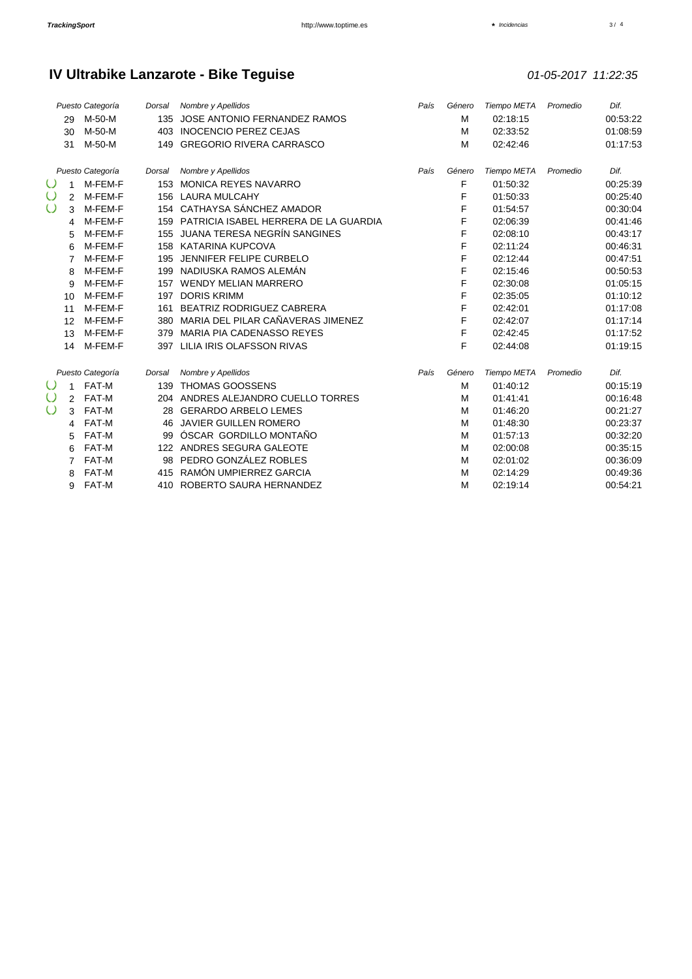$3/4$ 

|                  |                | Puesto Categoría | Dorsal             | Nombre y Apellidos                        | País   | Género      | Tiempo META | Promedio | Dif.     |
|------------------|----------------|------------------|--------------------|-------------------------------------------|--------|-------------|-------------|----------|----------|
|                  | 29             | M-50-M           | 135                | JOSE ANTONIO FERNANDEZ RAMOS              |        | M           | 02:18:15    |          | 00:53:22 |
|                  | 30             | M-50-M           | 403                | <b>INOCENCIO PEREZ CEJAS</b>              |        | M           | 02:33:52    |          | 01:08:59 |
|                  | 31             | M-50-M           | 149                | <b>GREGORIO RIVERA CARRASCO</b>           |        | M           | 02:42:46    |          | 01:17:53 |
|                  |                | Puesto Categoría | Dorsal             | Nombre y Apellidos                        | País   | Género      | Tiempo META | Promedio | Dif.     |
| $\cup$           | 1              | M-FEM-F          |                    | 153 MONICA REYES NAVARRO                  |        | F           | 01:50:32    |          | 00:25:39 |
| $\cup$           | 2              | M-FEM-F          |                    | 156 LAURA MULCAHY                         |        | F           | 01:50:33    |          | 00:25:40 |
| $\cup$           | 3              | M-FEM-F          |                    | 154 CATHAYSA SÁNCHEZ AMADOR               |        | F           | 01:54:57    |          | 00:30:04 |
|                  | 4              | M-FEM-F          |                    | 159 PATRICIA ISABEL HERRERA DE LA GUARDIA |        | F           | 02:06:39    |          | 00:41:46 |
|                  | 5              | M-FEM-F          | 155                | JUANA TERESA NEGRÍN SANGINES              |        | F           | 02:08:10    |          | 00:43:17 |
|                  | 6              | M-FEM-F          |                    | 158 KATARINA KUPCOVA                      |        | F           | 02:11:24    |          | 00:46:31 |
|                  | $\overline{7}$ | M-FEM-F          | 195                | JENNIFER FELIPE CURBELO                   |        | F           | 02:12:44    |          | 00:47:51 |
|                  | 8              | M-FEM-F          |                    | 199 NADIUSKA RAMOS ALEMÁN                 |        | F           | 02:15:46    |          | 00:50:53 |
|                  | 9              | M-FEM-F          |                    | 157 WENDY MELIAN MARRERO                  |        | F           | 02:30:08    |          | 01:05:15 |
|                  | 10             | M-FEM-F          | 197                | <b>DORIS KRIMM</b>                        |        | F           | 02:35:05    |          | 01:10:12 |
|                  | 11             | M-FEM-F          | 161                | BEATRIZ RODRIGUEZ CABRERA                 |        | F           | 02:42:01    |          | 01:17:08 |
|                  | 12             | M-FEM-F          | 380                | MARIA DEL PILAR CAÑAVERAS JIMENEZ         |        | F           | 02:42:07    |          | 01:17:14 |
|                  | 13             | M-FEM-F          | 379                | MARIA PIA CADENASSO REYES                 |        | F           | 02:42:45    |          | 01:17:52 |
|                  | 14             | M-FEM-F          |                    | 397 LILIA IRIS OLAFSSON RIVAS             |        | F           | 02:44:08    |          | 01:19:15 |
| Puesto Categoría |                | Dorsal           | Nombre y Apellidos | País                                      | Género | Tiempo META | Promedio    | Dif.     |          |
| $\cup$           | 1              | FAT-M            | 139                | <b>THOMAS GOOSSENS</b>                    |        | M           | 01:40:12    |          | 00:15:19 |
| $\cup$           | 2              | FAT-M            | 204                | ANDRES ALEJANDRO CUELLO TORRES            |        | M           | 01:41:41    |          | 00:16:48 |
| $\cup$           | 3              | FAT-M            | 28                 | <b>GERARDO ARBELO LEMES</b>               |        | M           | 01:46:20    |          | 00:21:27 |
|                  | 4              | FAT-M            | 46                 | <b>JAVIER GUILLEN ROMERO</b>              |        | M           | 01:48:30    |          | 00:23:37 |
|                  | 5              | FAT-M            | 99                 | ÓSCAR GORDILLO MONTAÑO                    |        | M           | 01:57:13    |          | 00:32:20 |
|                  | 6              | FAT-M            | 122                | ANDRES SEGURA GALEOTE                     |        | M           | 02:00:08    |          | 00:35:15 |
|                  | $\overline{7}$ | FAT-M            | 98                 | PEDRO GONZÁLEZ ROBLES                     |        | M           | 02:01:02    |          | 00:36:09 |
|                  | 8              | FAT-M            | 415                | RAMÓN UMPIERREZ GARCIA                    |        | M           | 02:14:29    |          | 00:49:36 |
|                  | 9              | FAT-M            | 410                | ROBERTO SAURA HERNANDEZ                   |        | M           | 02:19:14    |          | 00:54:21 |